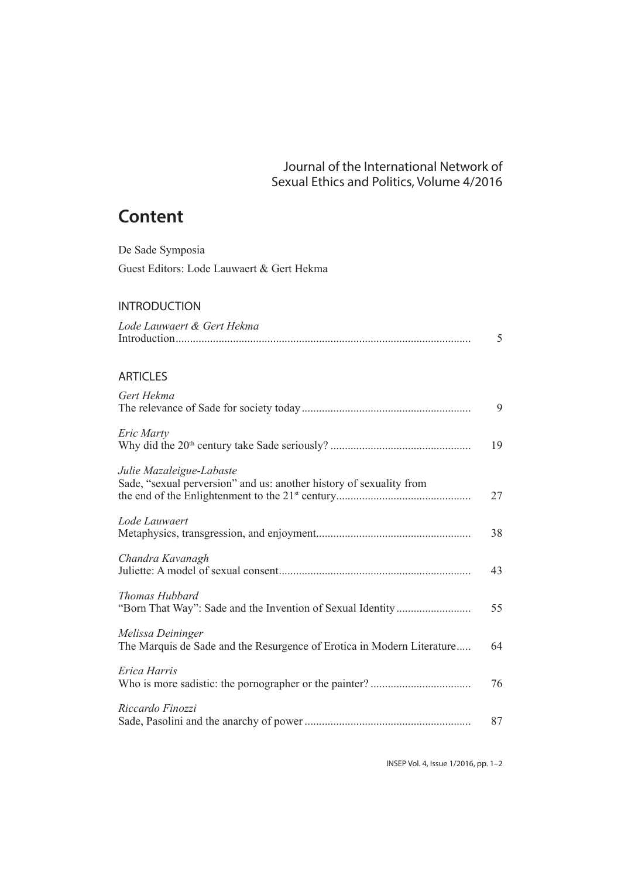## Journal of the International Network of Sexual Ethics and Politics, Volume 4/2016

## **Content**

De Sade Symposia Guest Editors: Lode Lauwaert & Gert Hekma

## INTRODUCTION

| Lode Lauwaert & Gert Hekma                                                                      | 5  |
|-------------------------------------------------------------------------------------------------|----|
| <b>ARTICLES</b>                                                                                 |    |
| Gert Hekma                                                                                      | 9  |
| Eric Marty                                                                                      | 19 |
| Julie Mazaleigue-Labaste<br>Sade, "sexual perversion" and us: another history of sexuality from | 27 |
| Lode Lauwaert                                                                                   | 38 |
| Chandra Kavanagh                                                                                | 43 |
| Thomas Hubbard                                                                                  | 55 |
| Melissa Deininger<br>The Marquis de Sade and the Resurgence of Erotica in Modern Literature     | 64 |
| Erica Harris                                                                                    | 76 |
| Riccardo Finozzi                                                                                | 87 |